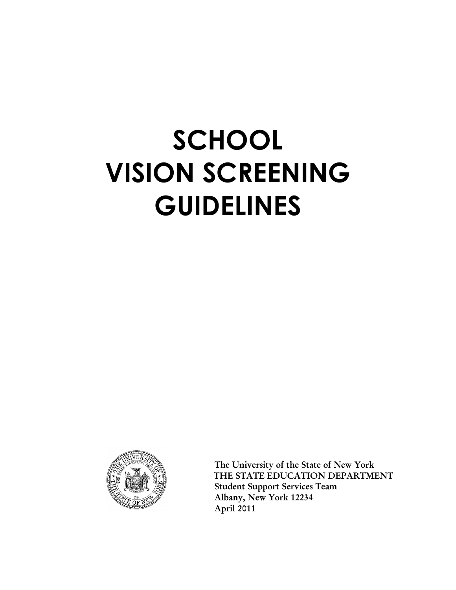# **SCHOOL VISION SCREENING GUIDELINES**



 **The University of the State of New York THE STATE EDUCATION DEPARTMENT Student Support Services Team Albany, New York 12234 April 2011**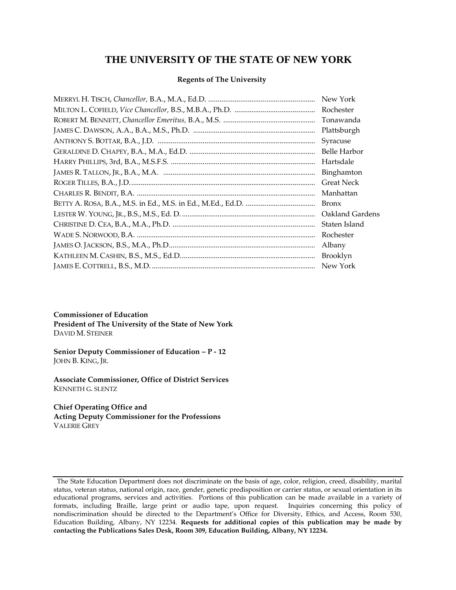## **THE UNIVERSITY OF THE STATE OF NEW YORK**

#### **Regents of The University**

| New York          |
|-------------------|
| Rochester         |
| Tonawanda         |
| Plattsburgh       |
| Syracuse          |
| Belle Harbor      |
| Hartsdale         |
| Binghamton        |
| <b>Great Neck</b> |
| Manhattan         |
| <b>Bronx</b>      |
| Oakland Gardens   |
| Staten Island     |
| Rochester         |
| Albany            |
| Brooklyn          |
| New York          |

#### **Commissioner of Education**

**President of The University of the State of New York** DAVID M. STEINER

#### **Senior Deputy Commissioner of Education – P - 12** JOHN B. KING, JR.

**Associate Commissioner, Office of District Services** KENNETH G. SLENTZ

#### **Chief Operating Office and**

**Acting Deputy Commissioner for the Professions** VALERIE GREY

The State Education Department does not discriminate on the basis of age, color, religion, creed, disability, marital status, veteran status, national origin, race, gender, genetic predisposition or carrier status, or sexual orientation in its educational programs, services and activities. Portions of this publication can be made available in a variety of formats, including Braille, large print or audio tape, upon request. Inquiries concerning this policy of nondiscrimination should be directed to the Department's Office for Diversity, Ethics, and Access, Room 530, Education Building, Albany, NY 12234. **Requests for additional copies of this publication may be made by contacting the Publications Sales Desk, Room 309, Education Building, Albany, NY 12234.**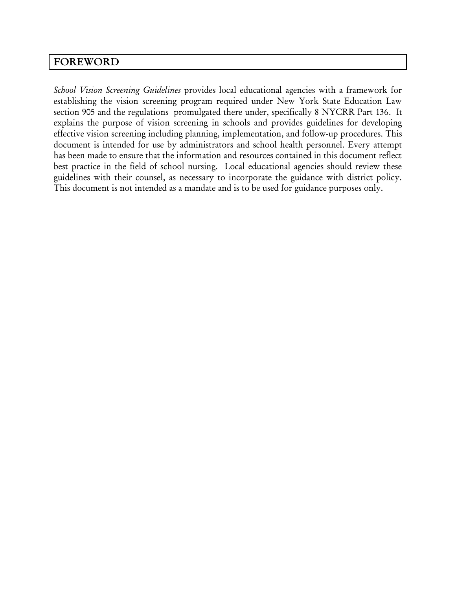## **FOREWORD**

*School Vision Screening Guidelines* provides local educational agencies with a framework for establishing the vision screening program required under New York State Education Law section 905 and the regulations promulgated there under, specifically 8 NYCRR Part 136. It explains the purpose of vision screening in schools and provides guidelines for developing effective vision screening including planning, implementation, and follow-up procedures. This document is intended for use by administrators and school health personnel. Every attempt has been made to ensure that the information and resources contained in this document reflect best practice in the field of school nursing. Local educational agencies should review these guidelines with their counsel, as necessary to incorporate the guidance with district policy. This document is not intended as a mandate and is to be used for guidance purposes only.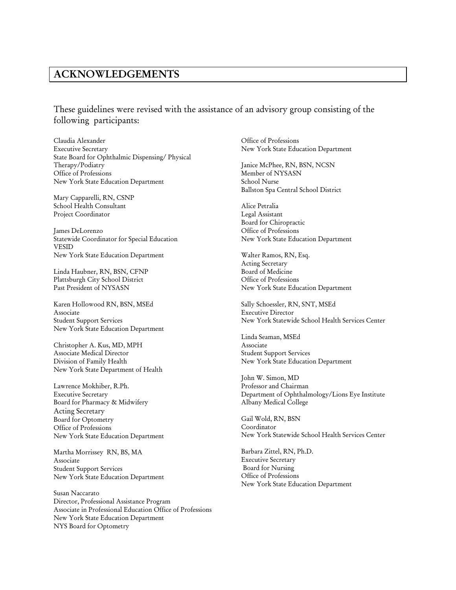## **ACKNOWLEDGEMENTS**

These guidelines were revised with the assistance of an advisory group consisting of the following participants:

Claudia Alexander Executive Secretary State Board for Ophthalmic Dispensing/ Physical Therapy/Podiatry Office of Professions New York State Education Department

Mary Capparelli, RN, CSNP School Health Consultant Project Coordinator

James DeLorenzo Statewide Coordinator for Special Education VESID New York State Education Department

Linda Haubner, RN, BSN, CFNP Plattsburgh City School District Past President of NYSASN

Karen Hollowood RN, BSN, MSEd Associate Student Support Services New York State Education Department

Christopher A. Kus, MD, MPH Associate Medical Director Division of Family Health New York State Department of Health

Lawrence Mokhiber, R.Ph. Executive Secretary Board for Pharmacy & Midwifery Acting Secretary Board for Optometry Office of Professions New York State Education Department

Martha Morrissey RN, BS, MA Associate Student Support Services New York State Education Department

Susan Naccarato Director, Professional Assistance Program Associate in Professional Education Office of Professions New York State Education Department NYS Board for Optometry

Office of Professions New York State Education Department

Janice McPhee, RN, BSN, NCSN Member of NYSASN School Nurse Ballston Spa Central School District

Alice Petralia Legal Assistant Board for Chiropractic Office of Professions New York State Education Department

Walter Ramos, RN, Esq. Acting Secretary Board of Medicine Office of Professions New York State Education Department

Sally Schoessler, RN, SNT, MSEd Executive Director New York Statewide School Health Services Center

Linda Seaman, MSEd Associate Student Support Services New York State Education Department

John W. Simon, MD Professor and Chairman Department of Ophthalmology/Lions Eye Institute Albany Medical College

Gail Wold, RN, BSN Coordinator New York Statewide School Health Services Center

Barbara Zittel, RN, Ph.D. Executive Secretary Board for Nursing Office of Professions New York State Education Department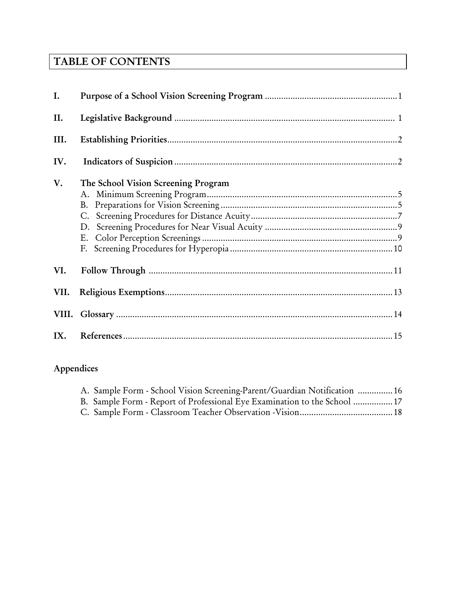# **TABLE OF CONTENTS**

| I.   |                                     |
|------|-------------------------------------|
| II.  |                                     |
| III. |                                     |
| IV.  |                                     |
| V.   | The School Vision Screening Program |
| VI.  |                                     |
| VII. |                                     |
|      |                                     |
|      |                                     |

# **Appendices**

| A. Sample Form - School Vision Screening-Parent/Guardian Notification  16 |  |
|---------------------------------------------------------------------------|--|
| B. Sample Form - Report of Professional Eye Examination to the School  17 |  |
|                                                                           |  |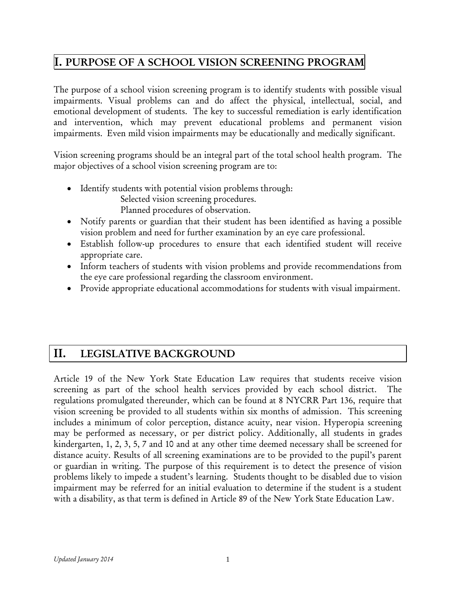## **I. PURPOSE OF A SCHOOL VISION SCREENING PROGRAM**

The purpose of a school vision screening program is to identify students with possible visual impairments. Visual problems can and do affect the physical, intellectual, social, and emotional development of students. The key to successful remediation is early identification and intervention, which may prevent educational problems and permanent vision impairments. Even mild vision impairments may be educationally and medically significant.

Vision screening programs should be an integral part of the total school health program. The major objectives of a school vision screening program are to:

- Identify students with potential vision problems through:
	- Selected vision screening procedures.

Planned procedures of observation.

- Notify parents or guardian that their student has been identified as having a possible vision problem and need for further examination by an eye care professional.
- Establish follow-up procedures to ensure that each identified student will receive appropriate care.
- Inform teachers of students with vision problems and provide recommendations from the eye care professional regarding the classroom environment.
- Provide appropriate educational accommodations for students with visual impairment.

## **II. LEGISLATIVE BACKGROUND**

Article 19 of the New York State Education Law requires that students receive vision screening as part of the school health services provided by each school district. The regulations promulgated thereunder, which can be found at 8 NYCRR Part 136, require that vision screening be provided to all students within six months of admission. This screening includes a minimum of color perception, distance acuity, near vision. Hyperopia screening may be performed as necessary, or per district policy. Additionally, all students in grades kindergarten, 1, 2, 3, 5, 7 and 10 and at any other time deemed necessary shall be screened for distance acuity. Results of all screening examinations are to be provided to the pupil's parent or guardian in writing. The purpose of this requirement is to detect the presence of vision problems likely to impede a student's learning. Students thought to be disabled due to vision impairment may be referred for an initial evaluation to determine if the student is a student with a disability, as that term is defined in Article 89 of the New York State Education Law.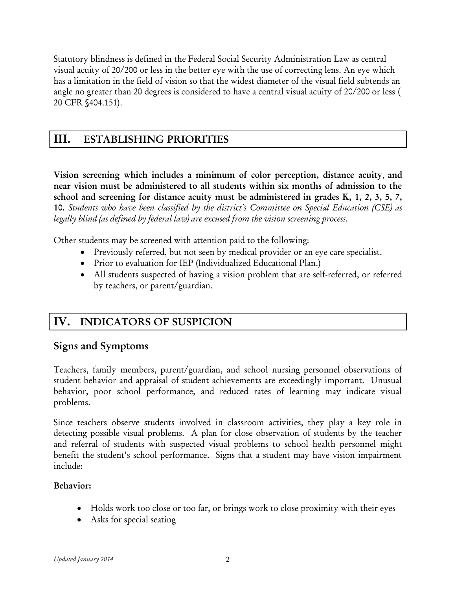Statutory blindness is defined in the Federal Social Security Administration Law as central visual acuity of 20/200 or less in the better eye with the use of correcting lens. An eye which has a limitation in the field of vision so that the widest diameter of the visual field subtends an angle no greater than 20 degrees is considered to have a central visual acuity of 20/200 or less ( 20 CFR §404.151).

## **III. ESTABLISHING PRIORITIES**

**Vision screening which includes a minimum of color perception, distance acuity**, **and near vision must be administered to all students within six months of admission to the school and screening for distance acuity must be administered in grades K, 1, 2, 3, 5, 7, 10***. Students who have been classified by the district's Committee on Special Education (CSE) as legally blind (as defined by federal law) are excused from the vision screening process.*

Other students may be screened with attention paid to the following:

- Previously referred, but not seen by medical provider or an eye care specialist.
- Prior to evaluation for IEP (Individualized Educational Plan.)
- All students suspected of having a vision problem that are self-referred, or referred by teachers, or parent/guardian.

## **IV. INDICATORS OF SUSPICION**

## **Signs and Symptoms**

Teachers, family members, parent/guardian, and school nursing personnel observations of student behavior and appraisal of student achievements are exceedingly important. Unusual behavior, poor school performance, and reduced rates of learning may indicate visual problems.

Since teachers observe students involved in classroom activities, they play a key role in detecting possible visual problems. A plan for close observation of students by the teacher and referral of students with suspected visual problems to school health personnel might benefit the student's school performance. Signs that a student may have vision impairment include:

#### **Behavior:**

- Holds work too close or too far, or brings work to close proximity with their eyes
- Asks for special seating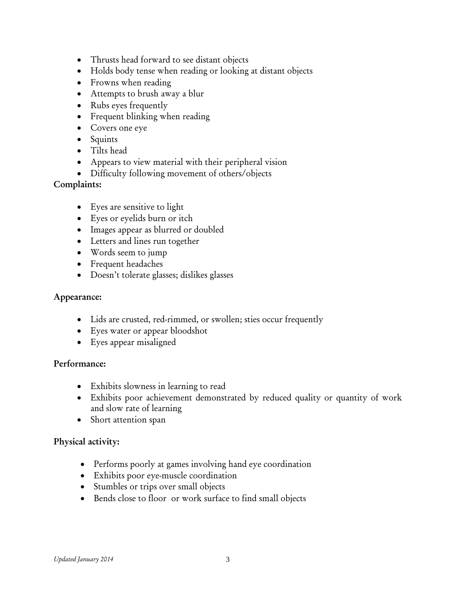- Thrusts head forward to see distant objects
- Holds body tense when reading or looking at distant objects
- Frowns when reading
- Attempts to brush away a blur
- Rubs eyes frequently
- Frequent blinking when reading
- Covers one eye
- Squints
- Tilts head
- Appears to view material with their peripheral vision
- Difficulty following movement of others/objects

#### **Complaints:**

- Eyes are sensitive to light
- Eyes or eyelids burn or itch
- Images appear as blurred or doubled
- Letters and lines run together
- Words seem to jump
- Frequent headaches
- Doesn't tolerate glasses; dislikes glasses

#### **Appearance:**

- Lids are crusted, red-rimmed, or swollen; sties occur frequently
- Eyes water or appear bloodshot
- Eyes appear misaligned

#### **Performance:**

- Exhibits slowness in learning to read
- Exhibits poor achievement demonstrated by reduced quality or quantity of work and slow rate of learning
- Short attention span

#### **Physical activity:**

- Performs poorly at games involving hand eye coordination
- Exhibits poor eye-muscle coordination
- Stumbles or trips over small objects
- Bends close to floor or work surface to find small objects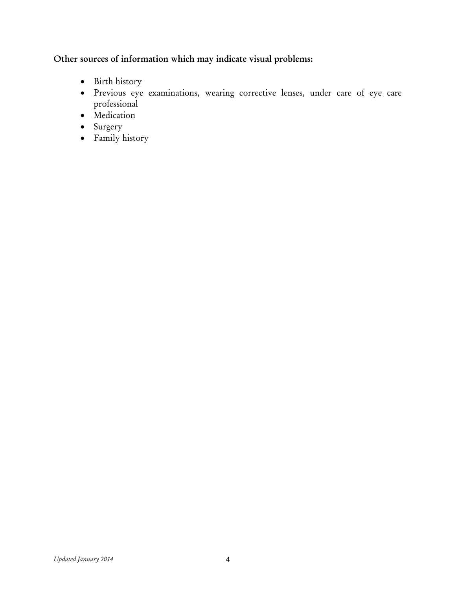## **Other sources of information which may indicate visual problems:**

- Birth history
- Previous eye examinations, wearing corrective lenses, under care of eye care professional
- Medication
- Surgery
- Family history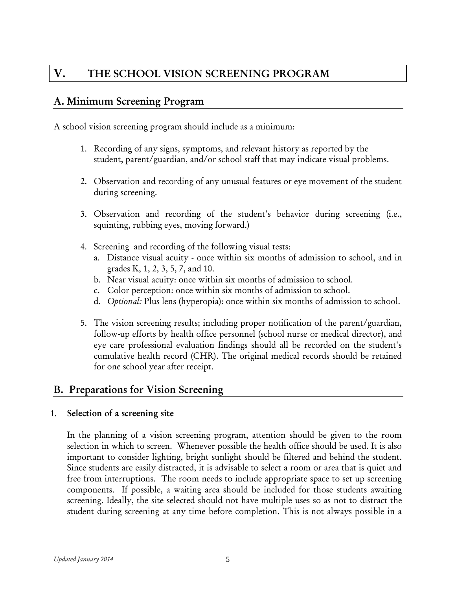## **V. THE SCHOOL VISION SCREENING PROGRAM**

## **A. Minimum Screening Program**

A school vision screening program should include as a minimum:

- 1. Recording of any signs, symptoms, and relevant history as reported by the student, parent/guardian, and/or school staff that may indicate visual problems.
- 2. Observation and recording of any unusual features or eye movement of the student during screening.
- 3. Observation and recording of the student's behavior during screening (i.e., squinting, rubbing eyes, moving forward.)
- 4. Screening and recording of the following visual tests:
	- a. Distance visual acuity once within six months of admission to school, and in grades K, 1, 2, 3, 5, 7, and 10.
	- b. Near visual acuity: once within six months of admission to school.
	- c. Color perception: once within six months of admission to school.
	- d. *Optional:* Plus lens (hyperopia): once within six months of admission to school.
- 5. The vision screening results; including proper notification of the parent/guardian, follow-up efforts by health office personnel (school nurse or medical director), and eye care professional evaluation findings should all be recorded on the student's cumulative health record (CHR). The original medical records should be retained for one school year after receipt.

#### **B. Preparations for Vision Screening**

#### 1. **Selection of a screening site**

In the planning of a vision screening program, attention should be given to the room selection in which to screen. Whenever possible the health office should be used. It is also important to consider lighting, bright sunlight should be filtered and behind the student. Since students are easily distracted, it is advisable to select a room or area that is quiet and free from interruptions. The room needs to include appropriate space to set up screening components. If possible, a waiting area should be included for those students awaiting screening. Ideally, the site selected should not have multiple uses so as not to distract the student during screening at any time before completion. This is not always possible in a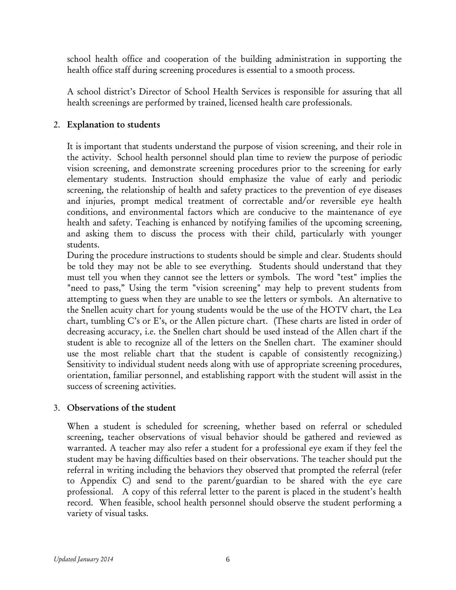school health office and cooperation of the building administration in supporting the health office staff during screening procedures is essential to a smooth process.

A school district's Director of School Health Services is responsible for assuring that all health screenings are performed by trained, licensed health care professionals.

#### 2. **Explanation to students**

It is important that students understand the purpose of vision screening, and their role in the activity. School health personnel should plan time to review the purpose of periodic vision screening, and demonstrate screening procedures prior to the screening for early elementary students. Instruction should emphasize the value of early and periodic screening, the relationship of health and safety practices to the prevention of eye diseases and injuries, prompt medical treatment of correctable and/or reversible eye health conditions, and environmental factors which are conducive to the maintenance of eye health and safety. Teaching is enhanced by notifying families of the upcoming screening, and asking them to discuss the process with their child, particularly with younger students.

During the procedure instructions to students should be simple and clear. Students should be told they may not be able to see everything. Students should understand that they must tell you when they cannot see the letters or symbols. The word "test" implies the "need to pass," Using the term "vision screening" may help to prevent students from attempting to guess when they are unable to see the letters or symbols. An alternative to the Snellen acuity chart for young students would be the use of the HOTV chart, the Lea chart, tumbling C's or E's, or the Allen picture chart. (These charts are listed in order of decreasing accuracy, i.e. the Snellen chart should be used instead of the Allen chart if the student is able to recognize all of the letters on the Snellen chart. The examiner should use the most reliable chart that the student is capable of consistently recognizing.) Sensitivity to individual student needs along with use of appropriate screening procedures, orientation, familiar personnel, and establishing rapport with the student will assist in the success of screening activities.

#### 3. **Observations of the student**

When a student is scheduled for screening, whether based on referral or scheduled screening, teacher observations of visual behavior should be gathered and reviewed as warranted. A teacher may also refer a student for a professional eye exam if they feel the student may be having difficulties based on their observations. The teacher should put the referral in writing including the behaviors they observed that prompted the referral (refer to Appendix C) and send to the parent/guardian to be shared with the eye care professional. A copy of this referral letter to the parent is placed in the student's health record. When feasible, school health personnel should observe the student performing a variety of visual tasks.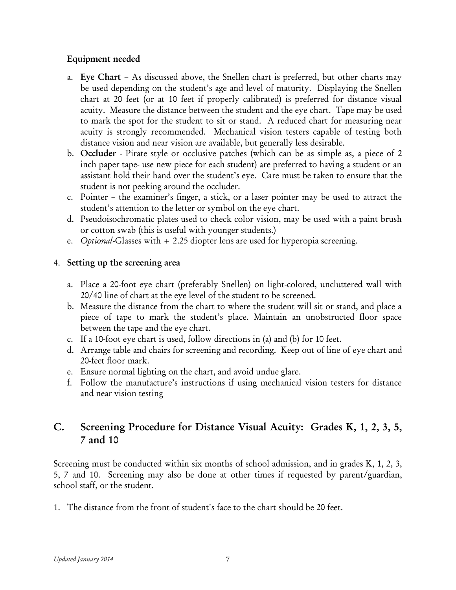#### **Equipment needed**

- a. **Eye Chart**  As discussed above, the Snellen chart is preferred, but other charts may be used depending on the student's age and level of maturity. Displaying the Snellen chart at 20 feet (or at 10 feet if properly calibrated) is preferred for distance visual acuity. Measure the distance between the student and the eye chart. Tape may be used to mark the spot for the student to sit or stand. A reduced chart for measuring near acuity is strongly recommended. Mechanical vision testers capable of testing both distance vision and near vision are available, but generally less desirable.
- b. **Occluder**  Pirate style or occlusive patches (which can be as simple as, a piece of 2 inch paper tape- use new piece for each student) are preferred to having a student or an assistant hold their hand over the student's eye. Care must be taken to ensure that the student is not peeking around the occluder.
- c. Pointer the examiner's finger, a stick, or a laser pointer may be used to attract the student's attention to the letter or symbol on the eye chart.
- d. Pseudoisochromatic plates used to check color vision, may be used with a paint brush or cotton swab (this is useful with younger students.)
- e. *Optional*-Glasses with + 2.25 diopter lens are used for hyperopia screening.

## 4. **Setting up the screening area**

- a. Place a 20-foot eye chart (preferably Snellen) on light-colored, uncluttered wall with 20/40 line of chart at the eye level of the student to be screened.
- b. Measure the distance from the chart to where the student will sit or stand, and place a piece of tape to mark the student's place. Maintain an unobstructed floor space between the tape and the eye chart.
- c. If a 10-foot eye chart is used, follow directions in (a) and (b) for 10 feet.
- d. Arrange table and chairs for screening and recording. Keep out of line of eye chart and 20-feet floor mark.
- e. Ensure normal lighting on the chart, and avoid undue glare.
- f. Follow the manufacture's instructions if using mechanical vision testers for distance and near vision testing

## **C. Screening Procedure for Distance Visual Acuity: Grades K, 1, 2, 3, 5, 7 and 10**

Screening must be conducted within six months of school admission, and in grades K, 1, 2, 3, 5, 7 and 10. Screening may also be done at other times if requested by parent/guardian, school staff, or the student.

1. The distance from the front of student's face to the chart should be 20 feet.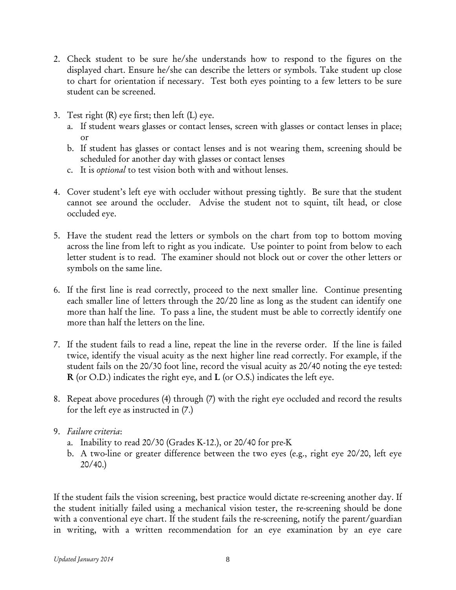- 2. Check student to be sure he/she understands how to respond to the figures on the displayed chart. Ensure he/she can describe the letters or symbols. Take student up close to chart for orientation if necessary. Test both eyes pointing to a few letters to be sure student can be screened.
- 3. Test right (R) eye first; then left (L) eye.
	- a. If student wears glasses or contact lenses, screen with glasses or contact lenses in place; or
	- b. If student has glasses or contact lenses and is not wearing them, screening should be scheduled for another day with glasses or contact lenses
	- c. It is *optional* to test vision both with and without lenses.
- 4. Cover student's left eye with occluder without pressing tightly. Be sure that the student cannot see around the occluder. Advise the student not to squint, tilt head, or close occluded eye.
- 5. Have the student read the letters or symbols on the chart from top to bottom moving across the line from left to right as you indicate. Use pointer to point from below to each letter student is to read. The examiner should not block out or cover the other letters or symbols on the same line.
- 6. If the first line is read correctly, proceed to the next smaller line. Continue presenting each smaller line of letters through the 20/20 line as long as the student can identify one more than half the line. To pass a line, the student must be able to correctly identify one more than half the letters on the line.
- 7. If the student fails to read a line, repeat the line in the reverse order. If the line is failed twice, identify the visual acuity as the next higher line read correctly. For example, if the student fails on the 20/30 foot line, record the visual acuity as 20/40 noting the eye tested: **R** (or O.D.) indicates the right eye, and **L** (or O.S.) indicates the left eye.
- 8. Repeat above procedures (4) through (7) with the right eye occluded and record the results for the left eye as instructed in (7.)
- 9. *Failure criteria*:
	- a. Inability to read 20/30 (Grades K-12.), or 20/40 for pre-K
	- b. A two-line or greater difference between the two eyes (e.g., right eye 20/20, left eye 20/40.)

If the student fails the vision screening, best practice would dictate re-screening another day. If the student initially failed using a mechanical vision tester, the re-screening should be done with a conventional eye chart. If the student fails the re-screening, notify the parent/guardian in writing, with a written recommendation for an eye examination by an eye care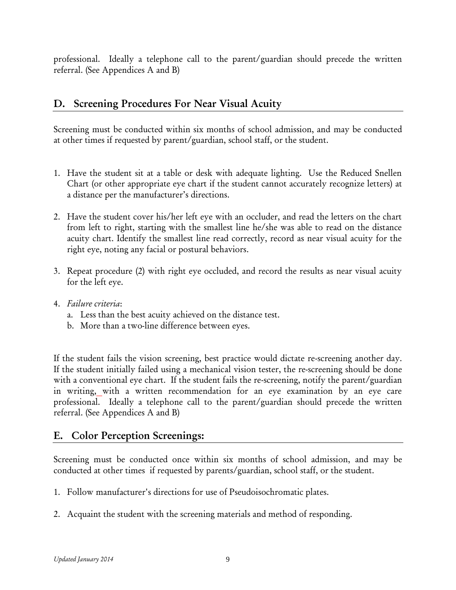professional. Ideally a telephone call to the parent/guardian should precede the written referral. (See Appendices A and B)

## **D. Screening Procedures For Near Visual Acuity**

Screening must be conducted within six months of school admission, and may be conducted at other times if requested by parent/guardian, school staff, or the student.

- 1. Have the student sit at a table or desk with adequate lighting. Use the Reduced Snellen Chart (or other appropriate eye chart if the student cannot accurately recognize letters) at a distance per the manufacturer's directions.
- 2. Have the student cover his/her left eye with an occluder, and read the letters on the chart from left to right, starting with the smallest line he/she was able to read on the distance acuity chart. Identify the smallest line read correctly, record as near visual acuity for the right eye, noting any facial or postural behaviors.
- 3. Repeat procedure (2) with right eye occluded, and record the results as near visual acuity for the left eye.
- 4. *Failure criteria*:
	- a. Less than the best acuity achieved on the distance test.
	- b. More than a two-line difference between eyes.

If the student fails the vision screening, best practice would dictate re-screening another day. If the student initially failed using a mechanical vision tester, the re-screening should be done with a conventional eye chart. If the student fails the re-screening, notify the parent/guardian in writing, with a written recommendation for an eye examination by an eye care professional. Ideally a telephone call to the parent/guardian should precede the written referral. (See Appendices A and B)

## **E. Color Perception Screenings:**

Screening must be conducted once within six months of school admission, and may be conducted at other times if requested by parents/guardian, school staff, or the student.

- 1. Follow manufacturer's directions for use of Pseudoisochromatic plates.
- 2. Acquaint the student with the screening materials and method of responding.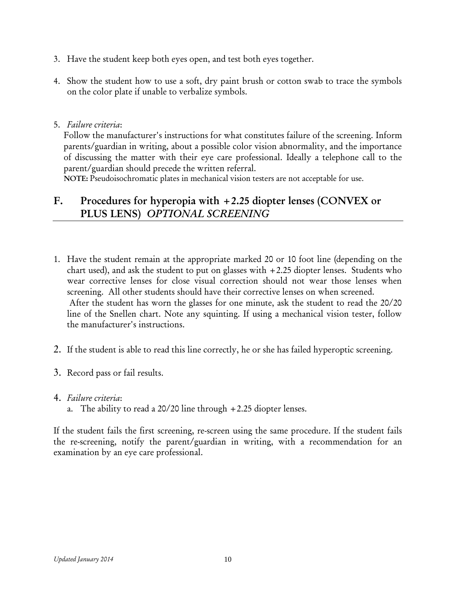- 3. Have the student keep both eyes open, and test both eyes together.
- 4. Show the student how to use a soft, dry paint brush or cotton swab to trace the symbols on the color plate if unable to verbalize symbols.
- 5. *Failure criteria*:

Follow the manufacturer's instructions for what constitutes failure of the screening. Inform parents/guardian in writing, about a possible color vision abnormality, and the importance of discussing the matter with their eye care professional. Ideally a telephone call to the parent/guardian should precede the written referral.

**NOTE:** Pseudoisochromatic plates in mechanical vision testers are not acceptable for use.

## **F. Procedures for hyperopia with +2.25 diopter lenses (CONVEX or PLUS LENS)** *OPTIONAL SCREENING*

- 1. Have the student remain at the appropriate marked 20 or 10 foot line (depending on the chart used), and ask the student to put on glasses with  $+2.25$  diopter lenses. Students who wear corrective lenses for close visual correction should not wear those lenses when screening. All other students should have their corrective lenses on when screened. After the student has worn the glasses for one minute, ask the student to read the 20/20 line of the Snellen chart. Note any squinting. If using a mechanical vision tester, follow the manufacturer's instructions.
- 2. If the student is able to read this line correctly, he or she has failed hyperoptic screening.
- 3. Record pass or fail results.
- 4. *Failure criteria*:
	- a. The ability to read a  $20/20$  line through  $+2.25$  diopter lenses.

If the student fails the first screening, re-screen using the same procedure. If the student fails the re-screening, notify the parent/guardian in writing, with a recommendation for an examination by an eye care professional.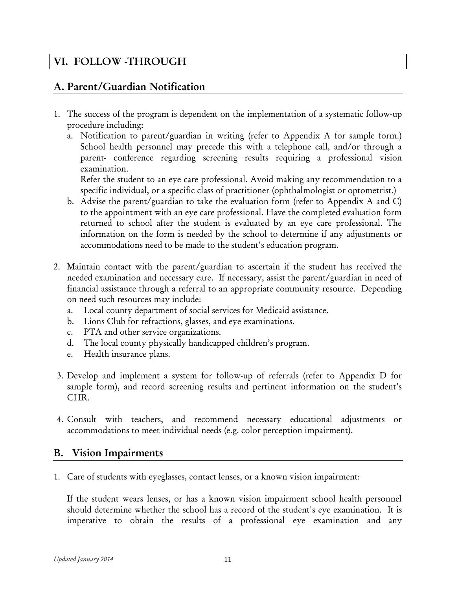## **VI. FOLLOW -THROUGH**

## **A. Parent/Guardian Notification**

- 1. The success of the program is dependent on the implementation of a systematic follow-up procedure including:
	- a. Notification to parent/guardian in writing (refer to Appendix A for sample form.) School health personnel may precede this with a telephone call, and/or through a parent- conference regarding screening results requiring a professional vision examination.

Refer the student to an eye care professional. Avoid making any recommendation to a specific individual, or a specific class of practitioner (ophthalmologist or optometrist.)

- b. Advise the parent/guardian to take the evaluation form (refer to Appendix A and C) to the appointment with an eye care professional. Have the completed evaluation form returned to school after the student is evaluated by an eye care professional. The information on the form is needed by the school to determine if any adjustments or accommodations need to be made to the student's education program.
- 2. Maintain contact with the parent/guardian to ascertain if the student has received the needed examination and necessary care. If necessary, assist the parent/guardian in need of financial assistance through a referral to an appropriate community resource. Depending on need such resources may include:
	- a. Local county department of social services for Medicaid assistance.
	- b. Lions Club for refractions, glasses, and eye examinations.
	- c. PTA and other service organizations.
	- d. The local county physically handicapped children's program.
	- e. Health insurance plans.
- 3. Develop and implement a system for follow-up of referrals (refer to Appendix D for sample form), and record screening results and pertinent information on the student's CHR.
- 4. Consult with teachers, and recommend necessary educational adjustments or accommodations to meet individual needs (e.g. color perception impairment).

#### **B. Vision Impairments**

1. Care of students with eyeglasses, contact lenses, or a known vision impairment:

If the student wears lenses, or has a known vision impairment school health personnel should determine whether the school has a record of the student's eye examination. It is imperative to obtain the results of a professional eye examination and any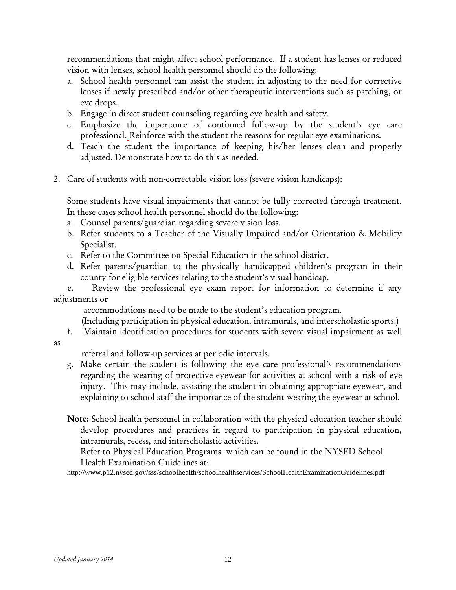recommendations that might affect school performance. If a student has lenses or reduced vision with lenses, school health personnel should do the following:

- a. School health personnel can assist the student in adjusting to the need for corrective lenses if newly prescribed and/or other therapeutic interventions such as patching, or eye drops.
- b. Engage in direct student counseling regarding eye health and safety.
- c. Emphasize the importance of continued follow-up by the student's eye care professional. Reinforce with the student the reasons for regular eye examinations.
- d. Teach the student the importance of keeping his/her lenses clean and properly adjusted. Demonstrate how to do this as needed.
- 2. Care of students with non-correctable vision loss (severe vision handicaps):

Some students have visual impairments that cannot be fully corrected through treatment. In these cases school health personnel should do the following:

- a. Counsel parents/guardian regarding severe vision loss.
- b. Refer students to a Teacher of the Visually Impaired and/or Orientation & Mobility Specialist.
- c. Refer to the Committee on Special Education in the school district.
- d. Refer parents/guardian to the physically handicapped children's program in their county for eligible services relating to the student's visual handicap.

 e. Review the professional eye exam report for information to determine if any adjustments or

accommodations need to be made to the student's education program.

(Including participation in physical education, intramurals, and interscholastic sports.)

- f. Maintain identification procedures for students with severe visual impairment as well
- as

referral and follow-up services at periodic intervals.

- g. Make certain the student is following the eye care professional's recommendations regarding the wearing of protective eyewear for activities at school with a risk of eye injury. This may include, assisting the student in obtaining appropriate eyewear, and explaining to school staff the importance of the student wearing the eyewear at school.
- **Note:** School health personnel in collaboration with the physical education teacher should develop procedures and practices in regard to participation in physical education, intramurals, recess, and interscholastic activities.

Refer to Physical Education Programs which can be found in the NYSED School Health Examination Guidelines at:

http://www.p12.nysed.gov/sss/schoolhealth/schoolhealthservices/SchoolHealthExaminationGuidelines.pdf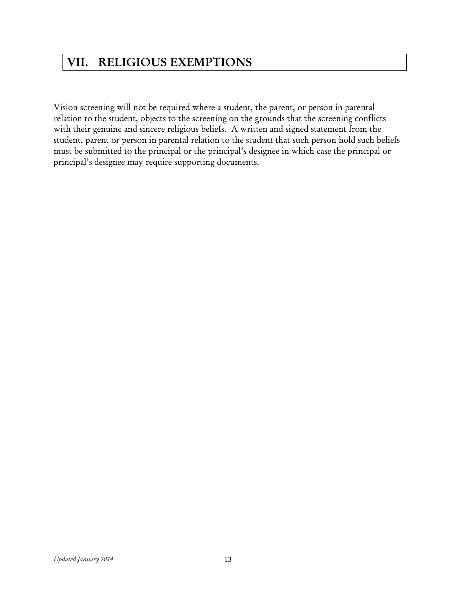# **VII. RELIGIOUS EXEMPTIONS**

Vision screening will not be required where a student, the parent, or person in parental relation to the student, objects to the screening on the grounds that the screening conflicts with their genuine and sincere religious beliefs. A written and signed statement from the student, parent or person in parental relation to the student that such person hold such beliefs must be submitted to the principal or the principal's designee in which case the principal or principal's designee may require supporting documents.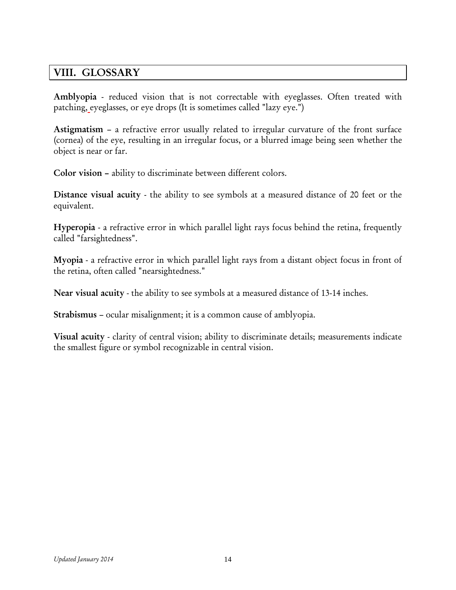## **VIII. GLOSSARY**

**Amblyopia** - reduced vision that is not correctable with eyeglasses. Often treated with patching, eyeglasses, or eye drops (It is sometimes called "lazy eye.")

**Astigmatism** – a refractive error usually related to irregular curvature of the front surface (cornea) of the eye, resulting in an irregular focus, or a blurred image being seen whether the object is near or far.

**Color vision –** ability to discriminate between different colors.

**Distance visual acuity** - the ability to see symbols at a measured distance of 20 feet or the equivalent.

**Hyperopia** - a refractive error in which parallel light rays focus behind the retina, frequently called "farsightedness".

**Myopia** - a refractive error in which parallel light rays from a distant object focus in front of the retina, often called "nearsightedness."

**Near visual acuity** - the ability to see symbols at a measured distance of 13-14 inches.

**Strabismus** – ocular misalignment; it is a common cause of amblyopia.

**Visual acuity** - clarity of central vision; ability to discriminate details; measurements indicate the smallest figure or symbol recognizable in central vision.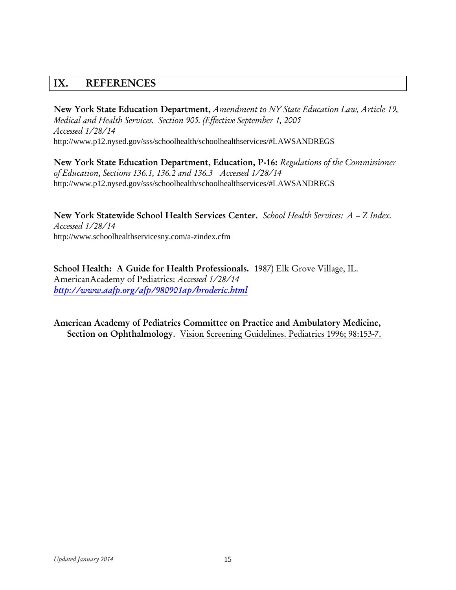## **IX. REFERENCES**

**New York State Education Department,** *Amendment to NY State Education Law, Article 19, Medical and Health Services. Section 905. (Effective September 1, 2005 Accessed 1/28/14*  http://www.p12.nysed.gov/sss/schoolhealth/schoolhealthservices/#LAWSANDREGS

**New York State Education Department, Education, P-16:** *Regulations of the Commissioner of Education, Sections 136.1, 136.2 and 136.3 Accessed 1/28/14*  http://www.p12.nysed.gov/sss/schoolhealth/schoolhealthservices/#LAWSANDREGS

**New York Statewide School Health Services Center.** *School Health Services: A – Z Index. Accessed 1/28/14*  http://www.schoolhealthservicesny.com/a-zindex.cfm

**School Health: A Guide for Health Professionals.** 1987) Elk Grove Village, IL. AmericanAcademy of Pediatrics: *Accessed 1/28/14 <http://www.aafp.org/afp/980901ap/broderic.html>*

**American Academy of Pediatrics Committee on Practice and Ambulatory Medicine, Section on Ophthalmology**. Vision Screening Guidelines. Pediatrics 1996; 98:153-7.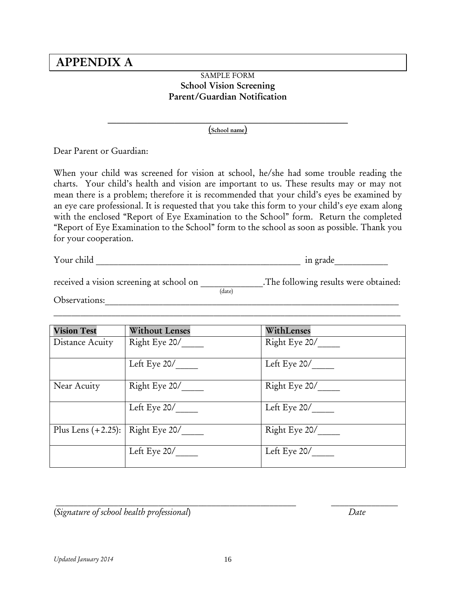## **APPENDIX A**

#### SAMPLE FORM **School Vision Screening Parent/Guardian Notification**

 $\mathcal{L} = \{ \mathcal{L} \mathcal{L} \mathcal{L} \mathcal{L} \mathcal{L} \mathcal{L} \mathcal{L} \mathcal{L} \mathcal{L} \mathcal{L} \mathcal{L} \mathcal{L} \mathcal{L} \mathcal{L} \mathcal{L} \mathcal{L} \mathcal{L} \mathcal{L} \mathcal{L} \mathcal{L} \mathcal{L} \mathcal{L} \mathcal{L} \mathcal{L} \mathcal{L} \mathcal{L} \mathcal{L} \mathcal{L} \mathcal{L} \mathcal{L} \mathcal{L} \mathcal{L} \mathcal{L} \mathcal{L} \mathcal{L} \$ **(School name)**

Dear Parent or Guardian:

When your child was screened for vision at school, he/she had some trouble reading the charts. Your child's health and vision are important to us. These results may or may not mean there is a problem; therefore it is recommended that your child's eyes be examined by an eye care professional. It is requested that you take this form to your child's eye exam along with the enclosed "Report of Eye Examination to the School" form. Return the completed "Report of Eye Examination to the School" form to the school as soon as possible. Thank you for your cooperation.

Your child \_\_\_\_\_\_\_\_\_\_\_\_\_\_\_\_\_\_\_\_\_\_\_\_\_\_\_\_\_\_\_\_\_\_\_\_\_\_\_\_\_\_\_\_\_\_ in grade\_\_\_\_\_\_\_\_\_\_\_\_

| received a vision screening at school on |        | . The following results were obtained: |
|------------------------------------------|--------|----------------------------------------|
|                                          | (date) |                                        |
| Observations:                            |        |                                        |

| <b>Vision Test</b>   | <b>Without Lenses</b> | WithLenses    |
|----------------------|-----------------------|---------------|
| Distance Acuity      | Right Eye 20/         | Right Eye 20/ |
|                      |                       |               |
|                      | Left Eye $20/$        | Left Eye 20/  |
| Near Acuity          | Right Eye 20/         | Right Eye 20/ |
|                      | Left Eye 20/          | Left Eye 20/  |
| Plus Lens $(+2.25):$ | Right Eye 20/         | Right Eye 20/ |
|                      | Left Eye 20/          | Left Eye 20/  |

(*Signature of school health professional*) *Date*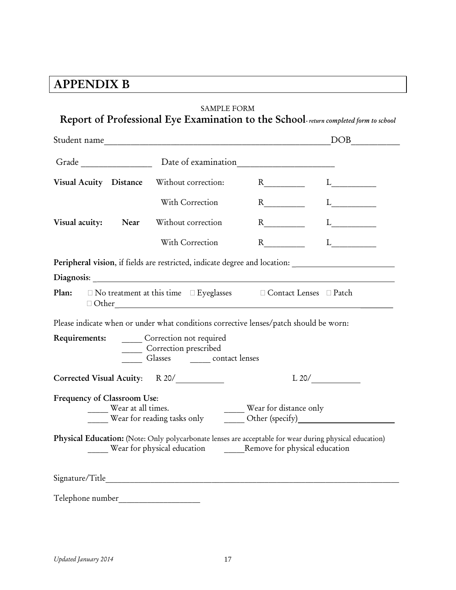# **APPENDIX B**

|                                                        |                                                                                                                                                                      | DOB                                                                                                                                 |
|--------------------------------------------------------|----------------------------------------------------------------------------------------------------------------------------------------------------------------------|-------------------------------------------------------------------------------------------------------------------------------------|
|                                                        |                                                                                                                                                                      |                                                                                                                                     |
| Visual Acuity Distance Without correction:             |                                                                                                                                                                      |                                                                                                                                     |
|                                                        | With Correction                                                                                                                                                      | $L_{\underline{\hspace{2cm}}\underline{\hspace{2cm}}}$                                                                              |
| Visual acuity: Near                                    | Without correction                                                                                                                                                   | $R_{\underline{\hspace{1cm}}\underline{\hspace{1cm}}} L_{\underline{\hspace{1cm}}\underline{\hspace{1cm}}\underline{\hspace{1cm}}}$ |
|                                                        | With Correction                                                                                                                                                      | $R \qquad \qquad L \qquad \qquad L \qquad \qquad$                                                                                   |
|                                                        | Peripheral vision, if fields are restricted, indicate degree and location: ________________________                                                                  |                                                                                                                                     |
|                                                        | Plan: □ No treatment at this time □ Eyeglasses □ Contact Lenses □ Patch                                                                                              |                                                                                                                                     |
|                                                        | Please indicate when or under what conditions corrective lenses/patch should be worn:                                                                                |                                                                                                                                     |
| Requirements: _______ Correction not required          | Correction prescribed<br>Glasses ________ contact lenses                                                                                                             |                                                                                                                                     |
| Corrected Visual Acuity: R 20/                         |                                                                                                                                                                      | L20/                                                                                                                                |
| Frequency of Classroom Use:<br>____ Wear at all times. | Wear at all times.<br>Wear for reading tasks only<br><u> Wear for chistance only</u><br>Other (specify)<br><u> Other (specify)</u>                                   |                                                                                                                                     |
|                                                        | Physical Education: (Note: Only polycarbonate lenses are acceptable for wear during physical education)<br>Wear for physical education Remove for physical education |                                                                                                                                     |
|                                                        |                                                                                                                                                                      |                                                                                                                                     |
| Telephone number_                                      |                                                                                                                                                                      |                                                                                                                                     |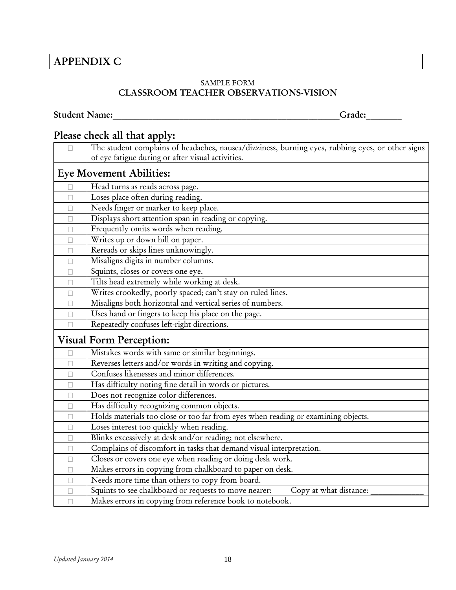## **APPENDIX C**

#### SAMPLE FORM **CLASSROOM TEACHER OBSERVATIONS-VISION**

## **Student Name:\_\_\_\_\_\_\_\_\_\_\_\_\_\_\_\_\_\_\_\_\_\_\_\_\_\_\_\_\_\_\_\_\_\_\_\_\_\_\_\_\_\_\_\_\_\_\_\_\_\_\_Grade:\_\_\_\_\_\_\_\_**

## **Please check all that apply:**

| $\Box$                         | The student complains of headaches, nausea/dizziness, burning eyes, rubbing eyes, or other signs |  |  |  |
|--------------------------------|--------------------------------------------------------------------------------------------------|--|--|--|
|                                | of eye fatigue during or after visual activities.                                                |  |  |  |
| <b>Eye Movement Abilities:</b> |                                                                                                  |  |  |  |
| П                              | Head turns as reads across page.                                                                 |  |  |  |
| п                              | Loses place often during reading.                                                                |  |  |  |
| П                              | Needs finger or marker to keep place.                                                            |  |  |  |
| П                              | Displays short attention span in reading or copying.                                             |  |  |  |
| П                              | Frequently omits words when reading.                                                             |  |  |  |
| П                              | Writes up or down hill on paper.                                                                 |  |  |  |
| П                              | Rereads or skips lines unknowingly.                                                              |  |  |  |
| П                              | Misaligns digits in number columns.                                                              |  |  |  |
| П                              | Squints, closes or covers one eye.                                                               |  |  |  |
| П                              | Tilts head extremely while working at desk.                                                      |  |  |  |
| П                              | Writes crookedly, poorly spaced; can't stay on ruled lines.                                      |  |  |  |
| п                              | Misaligns both horizontal and vertical series of numbers.                                        |  |  |  |
| П                              | Uses hand or fingers to keep his place on the page.                                              |  |  |  |
|                                | Repeatedly confuses left-right directions.                                                       |  |  |  |
|                                | <b>Visual Form Perception:</b>                                                                   |  |  |  |
| П                              | Mistakes words with same or similar beginnings.                                                  |  |  |  |
| П                              | Reverses letters and/or words in writing and copying.                                            |  |  |  |
| П                              | Confuses likenesses and minor differences.                                                       |  |  |  |
| П                              | Has difficulty noting fine detail in words or pictures.                                          |  |  |  |
| п                              | Does not recognize color differences.                                                            |  |  |  |
| П                              | Has difficulty recognizing common objects.                                                       |  |  |  |
| П                              | Holds materials too close or too far from eyes when reading or examining objects.                |  |  |  |
| П                              | Loses interest too quickly when reading.                                                         |  |  |  |
| П                              | Blinks excessively at desk and/or reading; not elsewhere.                                        |  |  |  |
| П                              | Complains of discomfort in tasks that demand visual interpretation.                              |  |  |  |
| П                              | Closes or covers one eye when reading or doing desk work.                                        |  |  |  |
| П                              | Makes errors in copying from chalkboard to paper on desk.                                        |  |  |  |
|                                | Needs more time than others to copy from board.                                                  |  |  |  |
| П                              | Squints to see chalkboard or requests to move nearer:<br>Copy at what distance:                  |  |  |  |
| $\Box$                         | Makes errors in copying from reference book to notebook.                                         |  |  |  |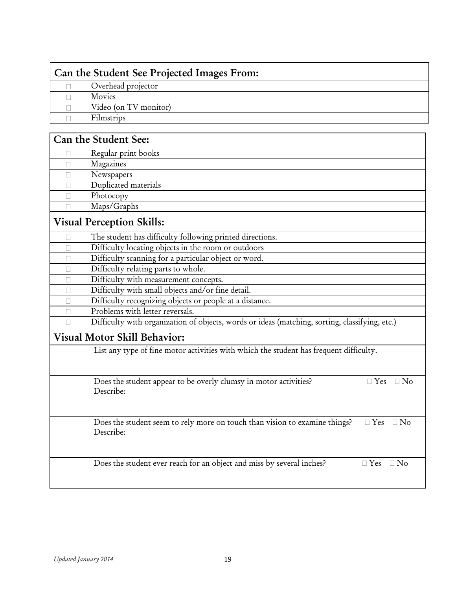| Can the Student See Projected Images From: |                       |  |
|--------------------------------------------|-----------------------|--|
|                                            | Overhead projector    |  |
|                                            | Movies                |  |
|                                            | Video (on TV monitor) |  |
|                                            | Filmstrips            |  |

| Can the Student See: |                                                                                                                 |  |  |
|----------------------|-----------------------------------------------------------------------------------------------------------------|--|--|
| П                    | Regular print books                                                                                             |  |  |
| П                    | Magazines                                                                                                       |  |  |
| П                    | Newspapers                                                                                                      |  |  |
| $\mathbb{R}^n$       | Duplicated materials                                                                                            |  |  |
| П                    | Photocopy                                                                                                       |  |  |
| П                    | Maps/Graphs                                                                                                     |  |  |
|                      | <b>Visual Perception Skills:</b>                                                                                |  |  |
| П                    | The student has difficulty following printed directions.                                                        |  |  |
| П                    | Difficulty locating objects in the room or outdoors                                                             |  |  |
| П                    | Difficulty scanning for a particular object or word.                                                            |  |  |
| П                    | Difficulty relating parts to whole.                                                                             |  |  |
|                      | Difficulty with measurement concepts.                                                                           |  |  |
| П                    | Difficulty with small objects and/or fine detail.                                                               |  |  |
| П                    | Difficulty recognizing objects or people at a distance.                                                         |  |  |
| П                    | Problems with letter reversals.                                                                                 |  |  |
|                      | Difficulty with organization of objects, words or ideas (matching, sorting, classifying, etc.)                  |  |  |
|                      | <b>Visual Motor Skill Behavior:</b>                                                                             |  |  |
|                      | List any type of fine motor activities with which the student has frequent difficulty.                          |  |  |
|                      |                                                                                                                 |  |  |
|                      | Does the student appear to be overly clumsy in motor activities?<br>$\Box$ No<br>$\Box$ Yes                     |  |  |
|                      | Describe:                                                                                                       |  |  |
|                      |                                                                                                                 |  |  |
|                      | Does the student seem to rely more on touch than vision to examine things?<br>$\Box$ Yes $\Box$ No<br>Describe: |  |  |
|                      |                                                                                                                 |  |  |
|                      | Does the student ever reach for an object and miss by several inches?<br>$\Box$ Yes $\Box$ No                   |  |  |